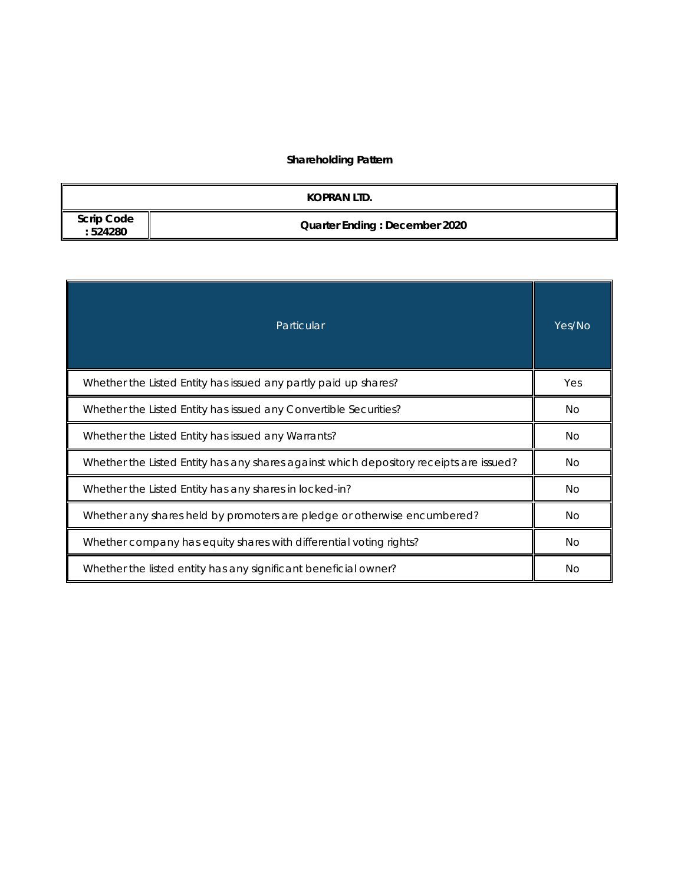# **Shareholding Pattern**

|                              | KOPRAN LTD.                          |
|------------------------------|--------------------------------------|
| <b>Scrip Code</b><br>:524280 | <b>Quarter Ending: December 2020</b> |

| Particular                                                                             | Yes/No |  |  |  |
|----------------------------------------------------------------------------------------|--------|--|--|--|
| Whether the Listed Entity has issued any partly paid up shares?                        | Yes    |  |  |  |
| Whether the Listed Entity has issued any Convertible Securities?                       |        |  |  |  |
| Whether the Listed Entity has issued any Warrants?                                     |        |  |  |  |
| Whether the Listed Entity has any shares against which depository receipts are issued? |        |  |  |  |
| Whether the Listed Entity has any shares in locked-in?                                 |        |  |  |  |
| Whether any shares held by promoters are pledge or otherwise encumbered?               |        |  |  |  |
| Whether company has equity shares with differential voting rights?                     |        |  |  |  |
| Whether the listed entity has any significant beneficial owner?                        | Νo     |  |  |  |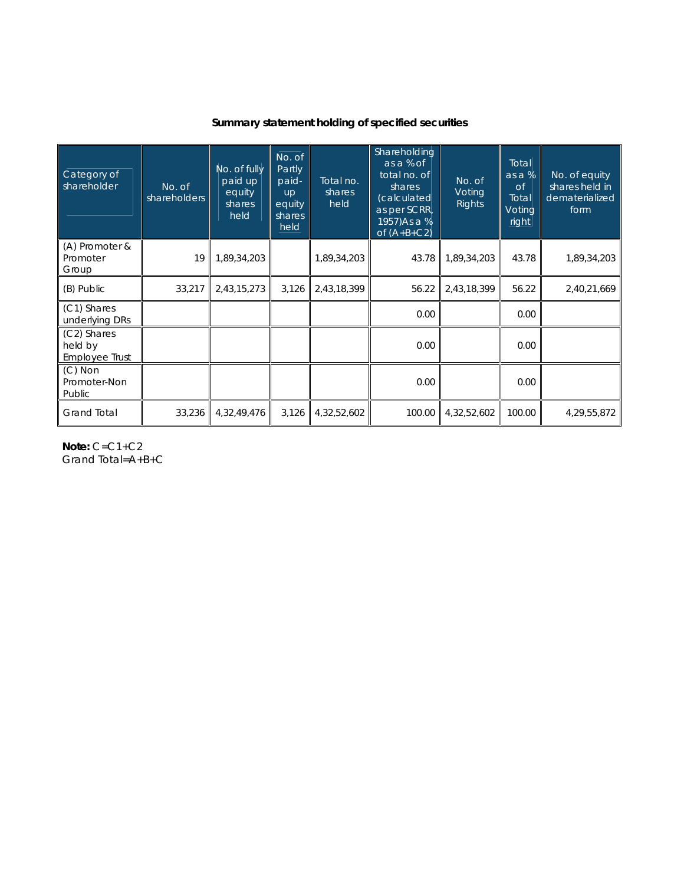## **Summary statement holding of specified securities**

| Category of<br>shareholder               | No. of<br>shareholders | No. of fully<br>paid up<br>equity<br>shares<br>held | No. of<br>Partly<br>paid-<br><b>up</b><br>equity<br>shares<br>held | Total no.<br>shares<br>held | Shareholding<br>as a % of<br>total no. of<br>shares<br>(calculated<br>as per SCRR,<br>1957) As a %<br>of $(A+B+C2)$ | No. of<br>Voting<br>Rights | Total<br>as a %<br><b>of</b><br>Total<br>Voting<br>right | No. of equity<br>shares held in<br>dematerialized<br>form |
|------------------------------------------|------------------------|-----------------------------------------------------|--------------------------------------------------------------------|-----------------------------|---------------------------------------------------------------------------------------------------------------------|----------------------------|----------------------------------------------------------|-----------------------------------------------------------|
| (A) Promoter &<br>Promoter<br>Group      | 19                     | 1,89,34,203                                         |                                                                    | 1,89,34,203                 | 43.78                                                                                                               | 1,89,34,203                | 43.78                                                    | 1,89,34,203                                               |
| (B) Public                               | 33,217                 | 2,43,15,273                                         | 3,126                                                              | 2,43,18,399                 | 56.22                                                                                                               | 2,43,18,399                | 56.22                                                    | 2,40,21,669                                               |
| (C1) Shares<br>underlying DRs            |                        |                                                     |                                                                    |                             | 0.00                                                                                                                |                            | 0.00                                                     |                                                           |
| (C2) Shares<br>held by<br>Employee Trust |                        |                                                     |                                                                    |                             | 0.00                                                                                                                |                            | 0.00                                                     |                                                           |
| $(C)$ Non<br>Promoter-Non<br>Public      |                        |                                                     |                                                                    |                             | 0.00                                                                                                                |                            | 0.00                                                     |                                                           |
| <b>Grand Total</b>                       | 33,236                 | 4,32,49,476                                         | 3,126                                                              | 4,32,52,602                 | 100.00                                                                                                              | 4,32,52,602                | 100.00                                                   | 4,29,55,872                                               |

**Note:** C=C1+C2 Grand Total=A+B+C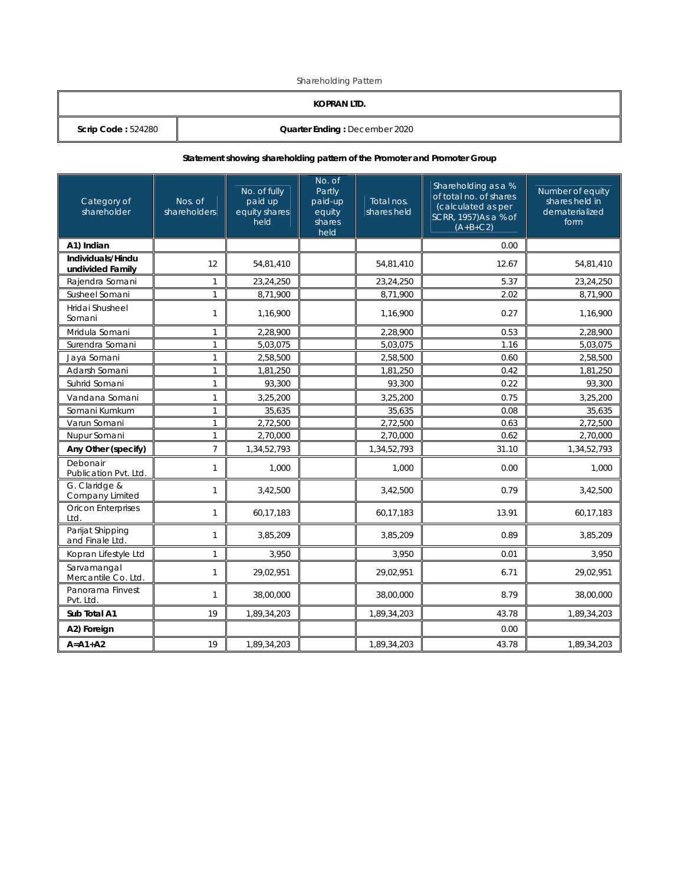Shareholding Pattern

### **KOPRAN LTD.**

**Scrip Code :** 524280 **Quarter Ending :** December 2020

### **Statement showing shareholding pattern of the Promoter and Promoter Group**

| Category of<br>shareholder            | Nos. of<br>shareholders | No. of fully<br>paid up<br>equity shares<br>held | No. of<br>Partly<br>paid-up<br>equity<br>shares<br>held | Total nos.<br>shares held | Shareholding as a %<br>of total no. of shares<br>(calculated as per<br>SCRR, 1957)As a % of<br>$(A+B+C2)$ | Number of equity<br>shares held in<br>dematerialized<br>form |
|---------------------------------------|-------------------------|--------------------------------------------------|---------------------------------------------------------|---------------------------|-----------------------------------------------------------------------------------------------------------|--------------------------------------------------------------|
| A1) Indian                            |                         |                                                  |                                                         |                           | 0.00                                                                                                      |                                                              |
| Individuals/Hindu<br>undivided Family | 12                      | 54,81,410                                        |                                                         | 54,81,410                 | 12.67                                                                                                     | 54,81,410                                                    |
| Rajendra Somani                       | $\mathbf{1}$            | 23,24,250                                        |                                                         | 23,24,250                 | 5.37                                                                                                      | 23,24,250                                                    |
| Susheel Somani                        | $\mathbf{1}$            | 8,71,900                                         |                                                         | 8,71,900                  | 2.02                                                                                                      | $\overline{8,}71,900$                                        |
| Hridai Shusheel<br>Somani             | $\mathbf{1}$            | 1,16,900                                         |                                                         | 1,16,900                  | 0.27                                                                                                      | 1,16,900                                                     |
| Mridula Somani                        | $\mathbf{1}$            | 2,28,900                                         |                                                         | 2,28,900                  | 0.53                                                                                                      | 2,28,900                                                     |
| Surendra Somani                       | $\mathbf{1}$            | 5,03,075                                         |                                                         | 5,03,075                  | 1.16                                                                                                      | 5,03,075                                                     |
| Jaya Somani                           | $\mathbf{1}$            | 2,58,500                                         |                                                         | 2,58,500                  | 0.60                                                                                                      | 2,58,500                                                     |
| Adarsh Somani                         | $\mathbf{1}$            | 1,81,250                                         |                                                         | 1,81,250                  | 0.42                                                                                                      | 1,81,250                                                     |
| Suhrid Somani                         | $\mathbf{1}$            | 93,300                                           |                                                         | 93,300                    | 0.22                                                                                                      | 93,300                                                       |
| Vandana Somani                        | $\mathbf{1}$            | 3,25,200                                         |                                                         | 3,25,200                  | 0.75                                                                                                      | 3,25,200                                                     |
| Somani Kumkum                         | $\mathbf{1}$            | 35,635                                           |                                                         | 35,635                    | 0.08                                                                                                      | 35,635                                                       |
| Varun Somani                          | $\mathbf{1}$            | 2,72,500                                         |                                                         | 2,72,500                  | 0.63                                                                                                      | 2,72,500                                                     |
| Nupur Somani                          | $\mathbf{1}$            | 2.70.000                                         |                                                         | 2,70,000                  | 0.62                                                                                                      | 2.70.000                                                     |
| Any Other (specify)                   | $\overline{7}$          | 1,34,52,793                                      |                                                         | 1,34,52,793               | 31.10                                                                                                     | 1,34,52,793                                                  |
| Debonair<br>Publication Pvt. Ltd.     | $\mathbf{1}$            | 1,000                                            |                                                         | 1,000                     | 0.00                                                                                                      | 1,000                                                        |
| G. Claridge &<br>Company Limited      | $\mathbf{1}$            | 3,42,500                                         |                                                         | 3,42,500                  | 0.79                                                                                                      | 3,42,500                                                     |
| <b>Oricon Enterprises</b><br>Ltd.     | $\mathbf{1}$            | 60,17,183                                        |                                                         | 60,17,183                 | 13.91                                                                                                     | 60,17,183                                                    |
| Parijat Shipping<br>and Finale Ltd.   | $\mathbf{1}$            | 3,85,209                                         |                                                         | 3,85,209                  | 0.89                                                                                                      | 3,85,209                                                     |
| Kopran Lifestyle Ltd                  | $\mathbf{1}$            | 3,950                                            |                                                         | 3,950                     | 0.01                                                                                                      | 3.950                                                        |
| Sarvamangal<br>Mercantile Co. Ltd.    | $\mathbf{1}$            | 29,02,951                                        |                                                         | 29,02,951                 | 6.71                                                                                                      | 29,02,951                                                    |
| Panorama Finvest<br>Pvt. Ltd.         | $\mathbf{1}$            | 38,00,000                                        |                                                         | 38,00,000                 | 8.79                                                                                                      | 38,00,000                                                    |
| Sub Total A1                          | 19                      | 1,89,34,203                                      |                                                         | 1,89,34,203               | 43.78                                                                                                     | 1,89,34,203                                                  |
| A2) Foreign                           |                         |                                                  |                                                         |                           | 0.00                                                                                                      |                                                              |
| $A = A1 + A2$                         | 19                      | 1,89,34,203                                      |                                                         | 1,89,34,203               | 43.78                                                                                                     | 1,89,34,203                                                  |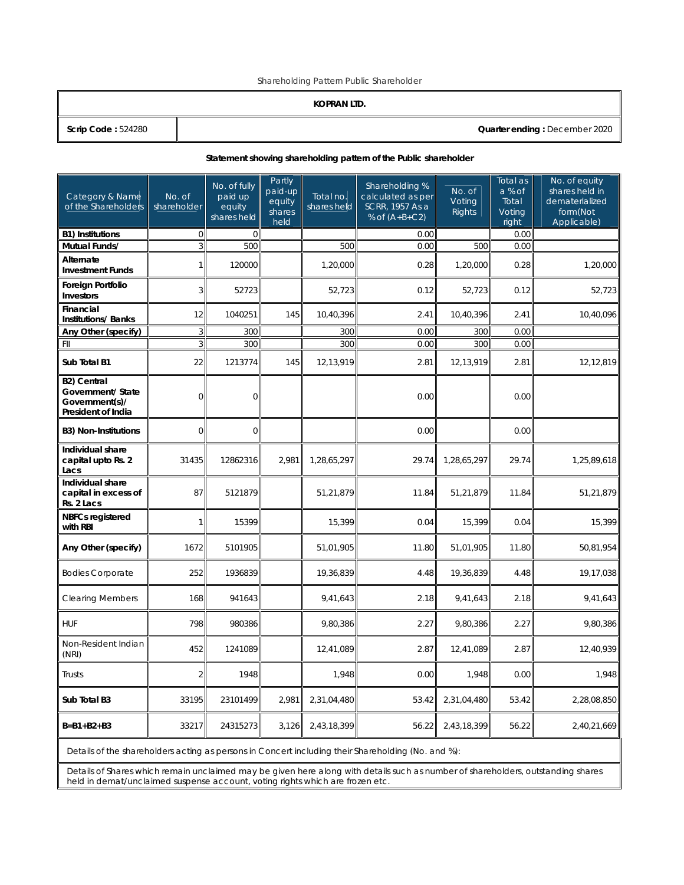Shareholding Pattern Public Shareholder

### **KOPRAN LTD.**

**Scrip Code :** 524280 **Quarter ending :** December 2020

#### **Statement showing shareholding pattern of the Public shareholder**

| Category & Name<br>of the Shareholders                                          | No. of<br>shareholder | No. of fully<br>paid up<br>equity<br>shares held | Partly<br>paid-up<br>equity<br>shares<br>held | Total no.<br>shares held | Shareholding %<br>calculated as per<br>SCRR, 1957 As a<br>% of $(A+B+C2)$ | No. of<br>Voting<br>Rights | Total as<br>a % of<br>Total<br>Voting<br>right | No. of equity<br>shares held in<br>dematerialized<br>form(Not<br>Applicable) |
|---------------------------------------------------------------------------------|-----------------------|--------------------------------------------------|-----------------------------------------------|--------------------------|---------------------------------------------------------------------------|----------------------------|------------------------------------------------|------------------------------------------------------------------------------|
| <b>B1) Institutions</b>                                                         | $\overline{0}$        | $\mathbf{0}$                                     |                                               |                          | 0.00                                                                      |                            | 0.00                                           |                                                                              |
| Mutual Funds/                                                                   | $\mathbf{3}$          | 500                                              |                                               | 500                      | 0.00                                                                      | 500                        | 0.00                                           |                                                                              |
| Alternate<br><b>Investment Funds</b>                                            | $\mathbf{1}$          | 120000                                           |                                               | 1,20,000                 | 0.28                                                                      | 1,20,000                   | 0.28                                           | 1,20,000                                                                     |
| <b>Foreign Portfolio</b><br><b>Investors</b>                                    | 3                     | 52723                                            |                                               | 52,723                   | 0.12                                                                      | 52,723                     | 0.12                                           | 52,723                                                                       |
| Financial<br><b>Institutions/Banks</b>                                          | 12                    | 1040251                                          | 145                                           | 10,40,396                | 2.41                                                                      | 10,40,396                  | 2.41                                           | 10,40,096                                                                    |
| Any Other (specify)                                                             | $\overline{3}$        | 300                                              |                                               | 300                      | 0.00                                                                      | 300                        | 0.00                                           |                                                                              |
| FII                                                                             | 3                     | 300                                              |                                               | 300                      | 0.00                                                                      | 300                        | 0.00                                           |                                                                              |
| Sub Total B1                                                                    | 22                    | 1213774                                          | 145                                           | 12,13,919                | 2.81                                                                      | 12,13,919                  | 2.81                                           | 12,12,819                                                                    |
| <b>B2) Central</b><br>Government/ State<br>Government(s)/<br>President of India | $\Omega$              | $\overline{0}$                                   |                                               |                          | 0.00                                                                      |                            | 0.00                                           |                                                                              |
| <b>B3) Non-Institutions</b>                                                     | $\Omega$              | $\Omega$                                         |                                               |                          | 0.00                                                                      |                            | 0.00                                           |                                                                              |
| Individual share<br>capital upto Rs. 2<br>Lacs                                  | 31435                 | 12862316                                         | 2,981                                         | 1,28,65,297              | 29.74                                                                     | 1,28,65,297                | 29.74                                          | 1,25,89,618                                                                  |
| Individual share<br>capital in excess of<br>Rs. 2 Lacs                          | 87                    | 5121879                                          |                                               | 51,21,879                | 11.84                                                                     | 51,21,879                  | 11.84                                          | 51,21,879                                                                    |
| <b>NBFCs registered</b><br>with RBI                                             | 1                     | 15399                                            |                                               | 15,399                   | 0.04                                                                      | 15,399                     | 0.04                                           | 15,399                                                                       |
| Any Other (specify)                                                             | 1672                  | 5101905                                          |                                               | 51,01,905                | 11.80                                                                     | 51,01,905                  | 11.80                                          | 50,81,954                                                                    |
| <b>Bodies Corporate</b>                                                         | 252                   | 1936839                                          |                                               | 19,36,839                | 4.48                                                                      | 19,36,839                  | 4.48                                           | 19,17,038                                                                    |
| <b>Clearing Members</b>                                                         | 168                   | 941643                                           |                                               | 9,41,643                 | 2.18                                                                      | 9,41,643                   | 2.18                                           | 9,41,643                                                                     |
| <b>HUF</b>                                                                      | 798                   | 980386                                           |                                               | 9,80,386                 | 2.27                                                                      | 9,80,386                   | 2.27                                           | 9,80,386                                                                     |
| Non-Resident Indian<br>(NRI)                                                    | 452                   | 1241089                                          |                                               | 12,41,089                | 2.87                                                                      | 12,41,089                  | 2.87                                           | 12,40,939                                                                    |
| Trusts                                                                          | $\overline{2}$        | 1948                                             |                                               | 1,948                    | 0.00                                                                      | 1,948                      | 0.00                                           | 1,948                                                                        |
| Sub Total B3                                                                    | 33195                 | 23101499                                         | 2,981                                         | 2,31,04,480              | 53.42                                                                     | 2,31,04,480                | 53.42                                          | 2,28,08,850                                                                  |
| $B = B1 + B2 + B3$                                                              | 33217                 | 24315273                                         | 3,126                                         | 2,43,18,399              | 56.22                                                                     | 2,43,18,399                | 56.22                                          | 2,40,21,669                                                                  |

Details of the shareholders acting as persons in Concert including their Shareholding (No. and %):

Details of Shares which remain unclaimed may be given here along with details such as number of shareholders, outstanding shares held in demat/unclaimed suspense account, voting rights which are frozen etc.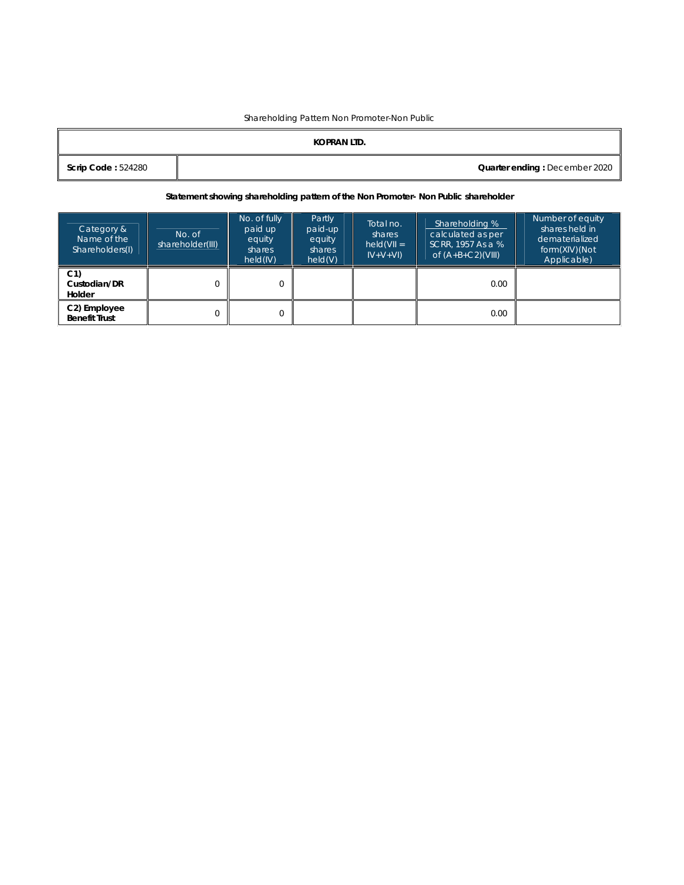### Shareholding Pattern Non Promoter-Non Public

|                           | KOPRAN LTD. |                               |
|---------------------------|-------------|-------------------------------|
| <b>Scrip Code: 524280</b> |             | Quarter ending: December 2020 |

### **Statement showing shareholding pattern of the Non Promoter- Non Public shareholder**

| Category &<br>Name of the<br>Shareholders(I) | No. of<br>shareholder(III) | No. of fully<br>paid up<br>equity<br>shares<br>held(IV) | Partly<br>paid-up<br>equity<br>shares<br>held(V) | Total no.<br>shares<br>$held(VII =$<br>$IV+V+VI$ | Shareholding %<br>calculated as per<br>SCRR. 1957 As a %<br>of $(A+B+C2)(VIII)$ | Number of equity<br>shares held in<br>dematerialized<br>form(XIV)(Not<br>Applicable) |
|----------------------------------------------|----------------------------|---------------------------------------------------------|--------------------------------------------------|--------------------------------------------------|---------------------------------------------------------------------------------|--------------------------------------------------------------------------------------|
| C <sub>1</sub><br>Custodian/DR<br>Holder     |                            | $\Omega$                                                |                                                  |                                                  | 0.00                                                                            |                                                                                      |
| C2) Employee<br><b>Benefit Trust</b>         |                            | 0                                                       |                                                  |                                                  | 0.00                                                                            |                                                                                      |